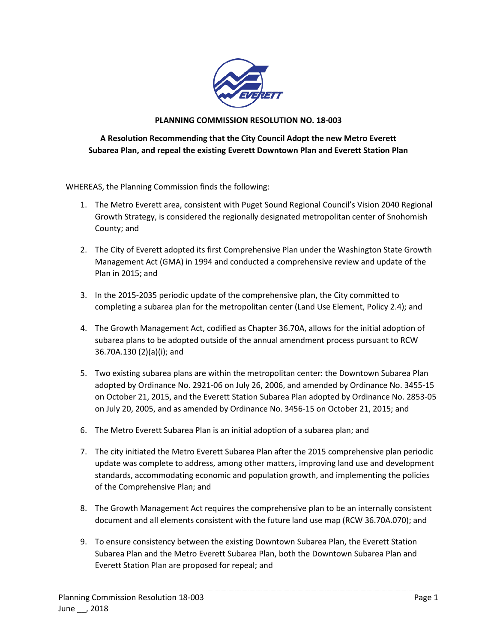

## **PLANNING COMMISSION RESOLUTION NO. 18-003**

## **A Resolution Recommending that the City Council Adopt the new Metro Everett Subarea Plan, and repeal the existing Everett Downtown Plan and Everett Station Plan**

WHEREAS, the Planning Commission finds the following:

- 1. The Metro Everett area, consistent with Puget Sound Regional Council's Vision 2040 Regional Growth Strategy, is considered the regionally designated metropolitan center of Snohomish County; and
- 2. The City of Everett adopted its first Comprehensive Plan under the Washington State Growth Management Act (GMA) in 1994 and conducted a comprehensive review and update of the Plan in 2015; and
- 3. In the 2015-2035 periodic update of the comprehensive plan, the City committed to completing a subarea plan for the metropolitan center (Land Use Element, Policy 2.4); and
- 4. The Growth Management Act, codified as Chapter 36.70A, allows for the initial adoption of subarea plans to be adopted outside of the annual amendment process pursuant to RCW 36.70A.130 (2)(a)(i); and
- 5. Two existing subarea plans are within the metropolitan center: the Downtown Subarea Plan adopted by Ordinance No. 2921-06 on July 26, 2006, and amended by Ordinance No. 3455-15 on October 21, 2015, and the Everett Station Subarea Plan adopted by Ordinance No. 2853-05 on July 20, 2005, and as amended by Ordinance No. 3456-15 on October 21, 2015; and
- 6. The Metro Everett Subarea Plan is an initial adoption of a subarea plan; and
- 7. The city initiated the Metro Everett Subarea Plan after the 2015 comprehensive plan periodic update was complete to address, among other matters, improving land use and development standards, accommodating economic and population growth, and implementing the policies of the Comprehensive Plan; and
- 8. The Growth Management Act requires the comprehensive plan to be an internally consistent document and all elements consistent with the future land use map (RCW 36.70A.070); and
- 9. To ensure consistency between the existing Downtown Subarea Plan, the Everett Station Subarea Plan and the Metro Everett Subarea Plan, both the Downtown Subarea Plan and Everett Station Plan are proposed for repeal; and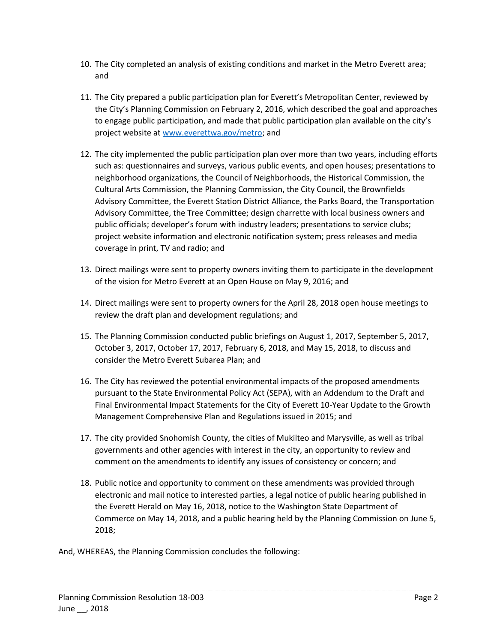- 10. The City completed an analysis of existing conditions and market in the Metro Everett area; and
- 11. The City prepared a public participation plan for Everett's Metropolitan Center, reviewed by the City's Planning Commission on February 2, 2016, which described the goal and approaches to engage public participation, and made that public participation plan available on the city's project website at [www.everettwa.gov/metro;](http://www.everettwa.gov/metro) and
- 12. The city implemented the public participation plan over more than two years, including efforts such as: questionnaires and surveys, various public events, and open houses; presentations to neighborhood organizations, the Council of Neighborhoods, the Historical Commission, the Cultural Arts Commission, the Planning Commission, the City Council, the Brownfields Advisory Committee, the Everett Station District Alliance, the Parks Board, the Transportation Advisory Committee, the Tree Committee; design charrette with local business owners and public officials; developer's forum with industry leaders; presentations to service clubs; project website information and electronic notification system; press releases and media coverage in print, TV and radio; and
- 13. Direct mailings were sent to property owners inviting them to participate in the development of the vision for Metro Everett at an Open House on May 9, 2016; and
- 14. Direct mailings were sent to property owners for the April 28, 2018 open house meetings to review the draft plan and development regulations; and
- 15. The Planning Commission conducted public briefings on August 1, 2017, September 5, 2017, October 3, 2017, October 17, 2017, February 6, 2018, and May 15, 2018, to discuss and consider the Metro Everett Subarea Plan; and
- 16. The City has reviewed the potential environmental impacts of the proposed amendments pursuant to the State Environmental Policy Act (SEPA), with an Addendum to the Draft and Final Environmental Impact Statements for the City of Everett 10-Year Update to the Growth Management Comprehensive Plan and Regulations issued in 2015; and
- 17. The city provided Snohomish County, the cities of Mukilteo and Marysville, as well as tribal governments and other agencies with interest in the city, an opportunity to review and comment on the amendments to identify any issues of consistency or concern; and
- 18. Public notice and opportunity to comment on these amendments was provided through electronic and mail notice to interested parties, a legal notice of public hearing published in the Everett Herald on May 16, 2018, notice to the Washington State Department of Commerce on May 14, 2018, and a public hearing held by the Planning Commission on June 5, 2018;

And, WHEREAS, the Planning Commission concludes the following: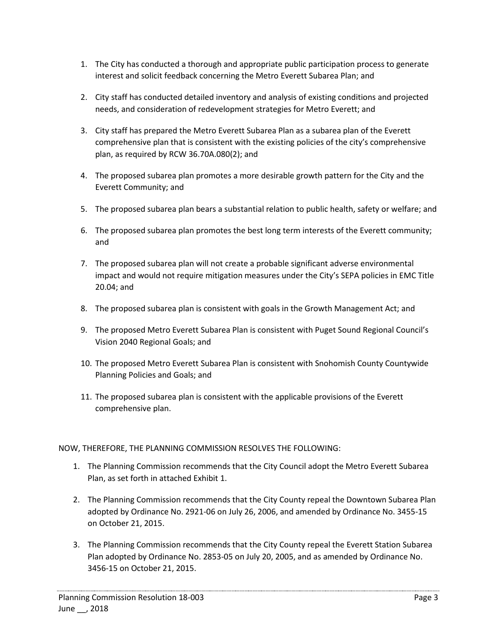- 1. The City has conducted a thorough and appropriate public participation process to generate interest and solicit feedback concerning the Metro Everett Subarea Plan; and
- 2. City staff has conducted detailed inventory and analysis of existing conditions and projected needs, and consideration of redevelopment strategies for Metro Everett; and
- 3. City staff has prepared the Metro Everett Subarea Plan as a subarea plan of the Everett comprehensive plan that is consistent with the existing policies of the city's comprehensive plan, as required by RCW 36.70A.080(2); and
- 4. The proposed subarea plan promotes a more desirable growth pattern for the City and the Everett Community; and
- 5. The proposed subarea plan bears a substantial relation to public health, safety or welfare; and
- 6. The proposed subarea plan promotes the best long term interests of the Everett community; and
- 7. The proposed subarea plan will not create a probable significant adverse environmental impact and would not require mitigation measures under the City's SEPA policies in EMC Title 20.04; and
- 8. The proposed subarea plan is consistent with goals in the Growth Management Act; and
- 9. The proposed Metro Everett Subarea Plan is consistent with Puget Sound Regional Council's Vision 2040 Regional Goals; and
- 10. The proposed Metro Everett Subarea Plan is consistent with Snohomish County Countywide Planning Policies and Goals; and
- 11. The proposed subarea plan is consistent with the applicable provisions of the Everett comprehensive plan.

## NOW, THEREFORE, THE PLANNING COMMISSION RESOLVES THE FOLLOWING:

- 1. The Planning Commission recommends that the City Council adopt the Metro Everett Subarea Plan, as set forth in attached Exhibit 1.
- 2. The Planning Commission recommends that the City County repeal the Downtown Subarea Plan adopted by Ordinance No. 2921-06 on July 26, 2006, and amended by Ordinance No. 3455-15 on October 21, 2015.
- 3. The Planning Commission recommends that the City County repeal the Everett Station Subarea Plan adopted by Ordinance No. 2853-05 on July 20, 2005, and as amended by Ordinance No. 3456-15 on October 21, 2015.